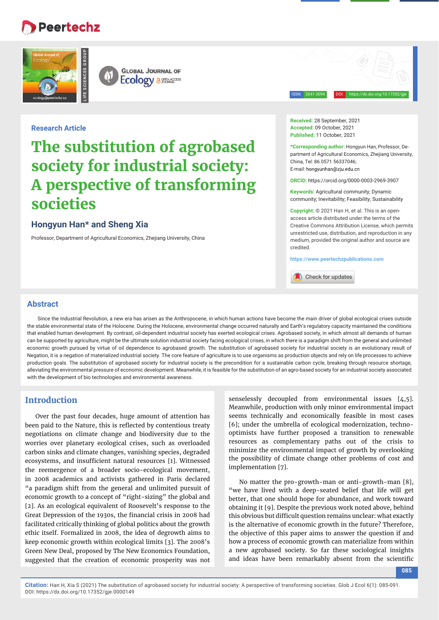## **Peertechz**





ISSN: 2641-3094 DOI: https://dx.doi.org/10.17352/gje

#### **Research Article**

# **The substitution of agrobased society for industrial society: A perspective of transforming societies**

## **Hongyun Han\* and Sheng Xia**

Professor, Department of Agricultural Economics, Zhejiang University, China

**Received:** 28 September, 2021 **Accepted:** 09 October, 2021 **Published:** 11 October, 2021

**\*Corresponding author:** Hongyun Han, Professor, Department of Agricultural Economics, Zhejiang University, China, Tel: 86 0571 56337046; E-mail: hongyunhan@zju.edu.cn

**ORCID:** https://orcid.org/0000-0003-2969-3907

**Keywords:** Agricultural community; Dynamic community; Inevitability; Feasibility; Sustainability

**Copyright:** © 2021 Han H, et al. This is an openaccess article distributed under the terms of the Creative Commons Attribution License, which permits unrestricted use, distribution, and reproduction in any medium, provided the original author and source are credited.

**https://www.peertechzpublications.com**

Check for updates

#### **Abstract**

Since the Industrial Revolution, a new era has arisen as the Anthropocene, in which human actions have become the main driver of global ecological crises outside the stable environmental state of the Holocene. During the Holocene, environmental change occurred naturally and Earth's regulatory capacity maintained the conditions that enabled human development. By contrast, oil-dependent industrial society has exerted ecological crises. Agrobased society, in which almost all demands of human can be supported by agriculture, might be the ultimate solution industrial society facing ecological crises, in which there is a paradigm shift from the general and unlimited economic growth pursued by virtue of oil dependence to agrobased growth. The substitution of agrobased society for industrial society is an evolutionary result of Negation, it is a negation of materialized industrial society. The core feature of agriculture is to use organisms as production objects and rely on life processes to achieve production goals. The substitution of agrobased society for industrial society is the precondition for a sustainable carbon cycle, breaking through resource shortage, alleviating the environmental pressure of economic development. Meanwhile, it is feasible for the substitution of an agro-based society for an industrial society associated with the development of bio technologies and environmental awareness.

## **Introduction**

Over the past four decades, huge amount of attention has been paid to the Nature, this is reflected by contentious treaty negotiations on climate change and biodiversity due to the worries over planetary ecological crises, such as overloaded carbon sinks and climate changes, vanishing species, degraded ecosystems, and insufficient natural resources [1]. Witnessed the reemergence of a broader socio-ecological movement, in 2008 academics and activists gathered in Paris declared "a paradigm shift from the general and unlimited pursuit of economic growth to a concept of "right-sizing" the global and [2]. As an ecological equivalent of Roosevelt's response to the Great Depression of the 1930s, the financial crisis in 2008 had facilitated critically thinking of global politics about the growth ethic itself. Formalized in 2008, the idea of degrowth aims to keep economic growth within ecological limits [3]. The 2008's Green New Deal, proposed by The New Economics Foundation, suggested that the creation of economic prosperity was not

senselessly decoupled from environmental issues [4,5]. Meanwhile, production with only minor environmental impact seems technically and economically feasible in most cases [6]; under the umbrella of ecological modernization, technooptimists have further proposed a transition to renewable resources as complementary paths out of the crisis to minimize the environmental impact of growth by overlooking the possibility of climate change other problems of cost and implementation [7].

No matter the pro-growth-man or anti-growth-man [8], "we have lived with a deep-seated belief that life will get better, that one should hope for abundance, and work toward obtaining it [9]. Despite the previous work noted above, behind this obvious but difficult question remains unclear: what exactly is the alternative of economic growth in the future? Therefore, the objective of this paper aims to answer the question if and how a process of economic growth can materialize from within a new agrobased society. So far these sociological insights and ideas have been remarkably absent from the scientific

**085**

**Citation:** Han H, Xia S (2021) The substitution of agrobased society for industrial society: A perspective of transforming societies. Glob J Ecol 6(1): 085-091. DOI: https://dx.doi.org/10.17352/gje.0000149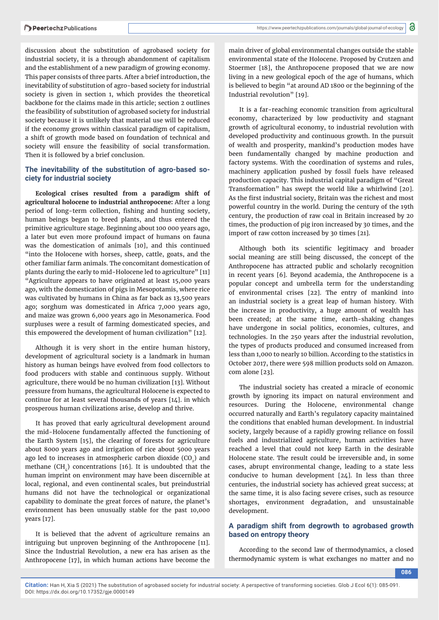discussion about the substitution of agrobased society for industrial society, it is a through abandonment of capitalism and the establishment of a new paradigm of growing economy. This paper consists of three parts. After a brief introduction, the inevitability of substitution of agro-based society for industrial society is given in section 1, which provides the theoretical backbone for the claims made in this article; section 2 outlines the feasibility of substitution of agrobased society for industrial society because it is unlikely that material use will be reduced if the economy grows within classical paradigm of capitalism, a shift of growth mode based on foundation of technical and society will ensure the feasibility of social transformation. Then it is followed by a brief conclusion.

#### **The inevitability of the substitution of agro-based society for industrial society**

**Ecological crises resulted from a paradigm shift of agricultural holocene to industrial anthropocene:** After a long period of long-term collection, fishing and hunting society, human beings began to breed plants, and thus entered the primitive agriculture stage. Beginning about 100 000 years ago, a later but even more profound impact of humans on fauna was the domestication of animals [10], and this continued "into the Holocene with horses, sheep, cattle, goats, and the other familiar farm animals. The concomitant domestication of plants during the early to mid-Holocene led to agriculture" [11] "Agriculture appears to have originated at least 15,000 years ago, with the domestication of pigs in Mesopotamis, where rice was cultivated by humans in China as far back as 13,500 years ago; sorghum was domesticated in Africa 7,000 years ago, and maize was grown 6,000 years ago in Mesonamerica. Food surpluses were a result of farming domesticated species, and this empowered the development of human civilization" [12].

Although it is very short in the entire human history, development of agricultural society is a landmark in human history as human beings have evolved from food collectors to food producers with stable and continuous supply. Without agriculture, there would be no human civilization [13]. Without pressure from humans, the agricultural Holocene is expected to continue for at least several thousands of years [14]. in which prosperous human civilizations arise, develop and thrive.

It has proved that early agricultural development around the mid-Holocene fundamentally affected the functioning of the Earth System [15], the clearing of forests for agriculture about 8000 years ago and irrigation of rice about 5000 years ago led to increases in atmospheric carbon dioxide  $(CO<sub>2</sub>)$  and methane  $(CH<sub>1</sub>)$  concentrations [16]. It is undoubted that the human imprint on environment may have been discernible at local, regional, and even continental scales, but preindustrial humans did not have the technological or organizational capability to dominate the great forces of nature, the planet's environment has been unusually stable for the past 10,000 years [17].

It is believed that the advent of agriculture remains an intriguing but unproven beginning of the Anthropocene [11]. Since the Industrial Revolution, a new era has arisen as the Anthropocene [17], in which human actions have become the

main driver of global environmental changes outside the stable environmental state of the Holocene. Proposed by Crutzen and Stoermer [18], the Anthropocene proposed that we are now living in a new geological epoch of the age of humans, which is believed to begin "at around AD 1800 or the beginning of the Industrial revolution" [19].

It is a far-reaching economic transition from agricultural economy, characterized by low productivity and stagnant growth of agricultural economy, to industrial revolution with developed productivity and continuous growth. In the pursuit of wealth and prosperity, mankind's production modes have been fundamentally changed by machine production and factory systems. With the coordination of systems and rules, machinery application pushed by fossil fuels have released production capacity. This industrial capital paradigm of "Great Transformation" has swept the world like a whirlwind [20]. As the first industrial society, Britain was the richest and most powerful country in the world. During the century of the 19th century, the production of raw coal in Britain increased by 20 times, the production of pig iron increased by 30 times, and the import of raw cotton increased by 30 times [21].

Although both its scientific legitimacy and broader social meaning are still being discussed, the concept of the Anthropocene has attracted public and scholarly recognition in recent years [6]. Beyond academia, the Anthropocene is a popular concept and umbrella term for the understanding of environmental crises [22]. The entry of mankind into an industrial society is a great leap of human history. With the increase in productivity, a huge amount of wealth has been created; at the same time, earth-shaking changes have undergone in social politics, economies, cultures, and technologies. In the 250 years after the industrial revolution, the types of products produced and consumed increased from less than 1,000 to nearly 10 billion. According to the statistics in October 2017, there were 598 million products sold on Amazon. com alone [23].

The industrial society has created a miracle of economic growth by ignoring its impact on natural environment and resources. During the Holocene, environmental change occurred naturally and Earth's regulatory capacity maintained the conditions that enabled human development. In industrial society, largely because of a rapidly growing reliance on fossil fuels and industrialized agriculture, human activities have reached a level that could not keep Earth in the desirable Holocene state. The result could be irreversible and, in some cases, abrupt environmental change, leading to a state less conducive to human development [24]. In less than three centuries, the industrial society has achieved great success; at the same time, it is also facing severe crises, such as resource shortages, environment degradation, and unsustainable development.

#### **A paradigm shift from degrowth to agrobased growth based on entropy theory**

According to the second law of thermodynamics, a closed thermodynamic system is what exchanges no matter and no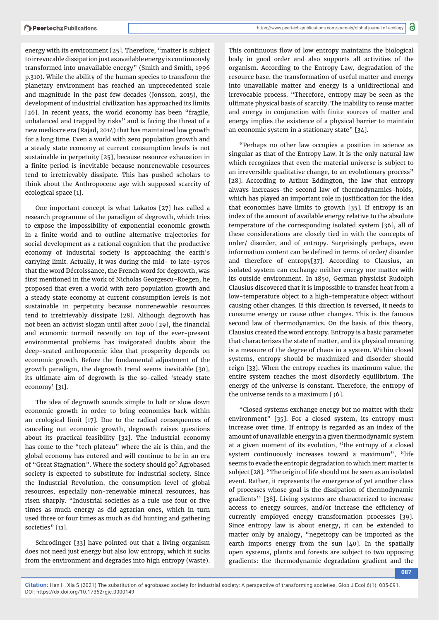energy with its environment [25]. Therefore, "matter is subject to irrevocable dissipation just as available energy is continuously transformed into unavailable energy" (Smith and Smith, 1996 p.310). While the ability of the human species to transform the planetary environment has reached an unprecedented scale and magnitude in the past few decades (Jonsson, 2015), the development of industrial civilization has approached its limits [26]. In recent years, the world economy has been "fragile, unbalanced and trapped by risks" and is facing the threat of a new mediocre era (Rajad, 2014) that has maintained low growth for a long time. Even a world with zero population growth and a steady state economy at current consumption levels is not sustainable in perpetuity [25], because resource exhaustion in a finite period is inevitable because nonrenewable resources tend to irretrievably dissipate. This has pushed scholars to think about the Anthropocene age with supposed scarcity of ecological space [1].

One important concept is what Lakatos [27] has called a research programme of the paradigm of degrowth, which tries to expose the impossibility of exponential economic growth in a finite world and to outline alternative trajectories for social development as a rational cognition that the productive economy of industrial society is approaching the earth's carrying limit. Actually, it was during the mid- to late-1970s that the word Décroissance, the French word for degrowth, was first mentioned in the work of Nicholas Georgescu-Roegen, he proposed that even a world with zero population growth and a steady state economy at current consumption levels is not sustainable in perpetuity because nonrenewable resources tend to irretrievably dissipate [28]. Although degrowth has not been an activist slogan until after 2000 [29], the financial and economic turmoil recently on top of the ever-present environmental problems has invigorated doubts about the deep-seated anthropocenic idea that prosperity depends on economic growth. Before the fundamental adjustment of the growth paradigm, the degrowth trend seems inevitable [30], its ultimate aim of degrowth is the so-called 'steady state economy' [31].

The idea of degrowth sounds simple to halt or slow down economic growth in order to bring economies back within an ecological limit [17]. Due to the radical consequences of canceling out economic growth, degrowth raises questions about its practical feasibility [32]. The industrial economy has come to the "tech plateau" where the air is thin, and the global economy has entered and will continue to be in an era of "Great Stagnation". Where the society should go? Agrobased society is expected to substitute for industrial society. Since the Industrial Revolution, the consumption level of global resources, especially non-renewable mineral resources, has risen sharply. "Industrial societies as a rule use four or five times as much energy as did agrarian ones, which in turn used three or four times as much as did hunting and gathering societies" [11].

Schrodinger [33] have pointed out that a living organism does not need just energy but also low entropy, which it sucks from the environment and degrades into high entropy (waste).

This continuous flow of low entropy maintains the biological body in good order and also supports all activities of the organism. According to the Entropy Law, degradation of the resource base, the transformation of useful matter and energy into unavailable matter and energy is a unidirectional and irrevocable process. "Therefore, entropy may be seen as the ultimate physical basis of scarcity. The inability to reuse matter and energy in conjunction with finite sources of matter and energy implies the existence of a physical barrier to maintain an economic system in a stationary state" [34].

"Perhaps no other law occupies a position in science as singular as that of the Entropy Law. It is the only natural law which recognizes that even the material universe is subject to an irreversible qualitative change, to an evolutionary process" [28]. According to Arthur Eddington, the law that entropy always increases-the second law of thermodynamics-holds, which has played an important role in justification for the idea that economies have limits to growth [35]. If entropy is an index of the amount of available energy relative to the absolute temperature of the corresponding isolated system [36], all of these considerations are closely tied in with the concepts of order/ disorder, and of entropy. Surprisingly perhaps, even information content can be defined in terms of order/ disorder and therefore of entropy[37]. According to Clausius, an isolated system can exchange neither energy nor matter with its outside environment. In 1850, German physicist Rudolph Clausius discovered that it is impossible to transfer heat from a low-temperature object to a high-temperature object without causing other changes. If this direction is reversed, it needs to consume energy or cause other changes. This is the famous second law of thermodynamics. On the basis of this theory, Clausius created the word entropy. Entropy is a basic parameter that characterizes the state of matter, and its physical meaning is a measure of the degree of chaos in a system. Within closed systems, entropy should be maximized and disorder should reign [33]. When the entropy reaches its maximum value, the entire system reaches the most disorderly equilibrium. The energy of the universe is constant. Therefore, the entropy of the universe tends to a maximum [36].

"Closed systems exchange energy but no matter with their environment" [35]. For a closed system, its entropy must increase over time. If entropy is regarded as an index of the amount of unavailable energy in a given thermodynamic system at a given moment of its evolution, "the entropy of a closed system continuously increases toward a maximum", "life seems to evade the entropic degradation to which inert matter is subject [28]. "The origin of life should not be seen as an isolated event. Rather, it represents the emergence of yet another class of processes whose goal is the dissipation of thermodynamic gradients'' [38]. Living systems are characterized to increase access to energy sources, and/or increase the efficiency of currently employed energy transformation processes [39]. Since entropy law is about energy, it can be extended to matter only by analogy, "negetropy can be imported as the earth imports energy from the sun [40]. In the spatially open systems, plants and forests are subject to two opposing gradients: the thermodynamic degradation gradient and the

**087**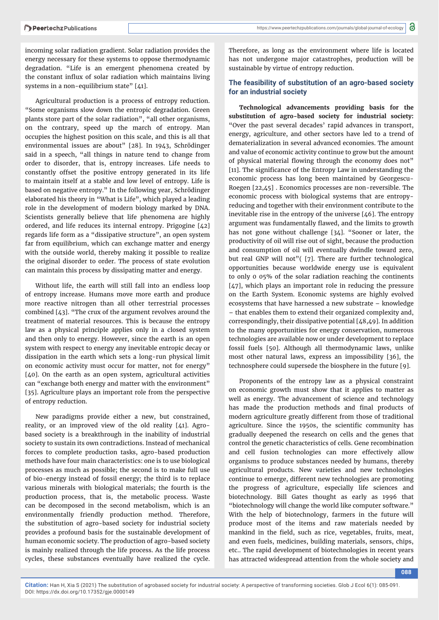incoming solar radiation gradient. Solar radiation provides the energy necessary for these systems to oppose thermodynamic degradation. "Life is an emergent phenomena created by the constant influx of solar radiation which maintains living systems in a non-equilibrium state" [41].

Agricultural production is a process of entropy reduction. "Some organisms slow down the entropic degradation. Green plants store part of the solar radiation", "all other organisms, on the contrary, speed up the march of entropy. Man occupies the highest position on this scale, and this is all that environmental issues are about" [28]. In 1943, Schrödinger said in a speech, "all things in nature tend to change from order to disorder, that is, entropy increases. Life needs to constantly offset the positive entropy generated in its life to maintain itself at a stable and low level of entropy. Life is based on negative entropy." In the following year, Schrödinger elaborated his theory in "What is Life", which played a leading role in the development of modern biology marked by DNA. Scientists generally believe that life phenomena are highly ordered, and life reduces its internal entropy. Prigogine [42] regards life form as a "dissipative structure", an open system far from equilibrium, which can exchange matter and energy with the outside world, thereby making it possible to realize the original disorder to order. The process of state evolution can maintain this process by dissipating matter and energy.

Without life, the earth will still fall into an endless loop of entropy increase. Humans move more earth and produce more reactive nitrogen than all other terrestrial processes combined [43]. "The crux of the argument revolves around the treatment of material resources. This is because the entropy law as a physical principle applies only in a closed system and then only to energy. However, since the earth is an open system with respect to energy any inevitable entropic decay or dissipation in the earth which sets a long-run physical limit on economic activity must occur for matter, not for energy" [40]. On the earth as an open system, agricultural activities can "exchange both energy and matter with the environment" [35]. Agriculture plays an important role from the perspective of entropy reduction.

New paradigms provide either a new, but constrained, reality, or an improved view of the old reality [41]. Agrobased society is a breakthrough in the inability of industrial society to sustain its own contradictions. Instead of mechanical forces to complete production tasks, agro-based production methods have four main characteristics: one is to use biological processes as much as possible; the second is to make full use of bio-energy instead of fossil energy; the third is to replace various minerals with biological materials; the fourth is the production process, that is, the metabolic process. Waste can be decomposed in the second metabolism, which is an environmentally friendly production method. Therefore, the substitution of agro-based society for industrial society provides a profound basis for the sustainable development of human economic society. The production of agro-based society is mainly realized through the life process. As the life process cycles, these substances eventually have realized the cycle.

Therefore, as long as the environment where life is located has not undergone major catastrophes, production will be sustainable by virtue of entropy reduction.

#### **The feasibility of substitution of an agro-based society for an industrial society**

**Technological advancements providing basis for the substitution of agro-based society for industrial society:**  "Over the past several decades' rapid advances in transport, energy, agriculture, and other sectors have led to a trend of dematerialization in several advanced economies. The amount and value of economic activity continue to grow but the amount of physical material flowing through the economy does not" [11]. The significance of the Entropy Law in understanding the economic process has long been maintained by Georgescu-Roegen [22,45] . Economics processes are non-reversible. The economic process with biological systems that are entropyreducing and together with their environment contribute to the inevitable rise in the entropy of the universe [46]. The entropy argument was fundamentally flawed, and the limits to growth has not gone without challenge [34]. "Sooner or later, the productivity of oil will rise out of sight, because the production and consumption of oil will eventually dwindle toward zero, but real GNP will not"( [7]. There are further technological opportunities because worldwide energy use is equivalent to only 0 05% of the solar radiation reaching the continents [47], which plays an important role in reducing the pressure on the Earth System. Economic systems are highly evolved ecosystems that have harnessed a new substrate – knowledge – that enables them to extend their organized complexity and, correspondingly, their dissipative potential [48,49]. In addition to the many opportunities for energy conservation, numerous technologies are available now or under development to replace fossil fuels [50]. Although all thermodynamic laws, unlike most other natural laws, express an impossibility [36], the technosphere could supersede the biosphere in the future [9].

Proponents of the entropy law as a physical constraint on economic growth must show that it applies to matter as well as energy. The advancement of science and technology has made the production methods and final products of modern agriculture greatly different from those of traditional agriculture. Since the 1950s, the scientific community has gradually deepened the research on cells and the genes that control the genetic characteristics of cells. Gene recombination and cell fusion technologies can more effectively allow organisms to produce substances needed by humans, thereby agricultural products. New varieties and new technologies continue to emerge, different new technologies are promoting the progress of agriculture, especially life sciences and biotechnology. Bill Gates thought as early as 1996 that "biotechnology will change the world like computer software." With the help of biotechnology, farmers in the future will produce most of the items and raw materials needed by mankind in the field, such as rice, vegetables, fruits, meat, and even fuels, medicines, building materials, sensors, chips, etc.. The rapid development of biotechnologies in recent years has attracted widespread attention from the whole society and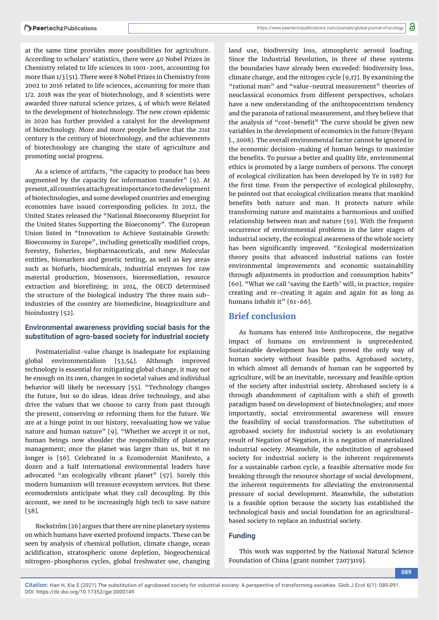at the same time provides more possibilities for agriculture. According to scholars' statistics, there were 40 Nobel Prizes in Chemistry related to life sciences in 1901-2001, accounting for more than 1/3 [51]. There were 8 Nobel Prizes in Chemistry from 2002 to 2016 related to life sciences, accounting for more than 1/2. 2018 was the year of biotechnology, and 8 scientists were awarded three natural science prizes, 4 of which were Related to the development of biotechnology. The new crown epidemic in 2020 has further provided a catalyst for the development of biotechnology. More and more people believe that the 21st century is the century of biotechnology, and the achievements of biotechnology are changing the state of agriculture and promoting social progress.

As a science of artifacts, "the capacity to produce has been augmented by the capacity for information transfer" [9]. At present, all countries attach great importance to the development of biotechnologies, and some developed countries and emerging economies have issued corresponding policies. In 2012, the United States released the "National Bioeconomy Blueprint for the United States Supporting the Bioeconomy". The European Union listed in "Innovation to Achieve Sustainable Growth: Bioeconomy in Europe", including genetically modified crops, forestry, fisheries, biopharmaceuticals, and new Molecular entities, biomarkers and genetic testing, as well as key areas such as biofuels, biochemicals, industrial enzymes for raw material production, biosensors, bioremediation, resource extraction and biorefining; in 2014, the OECD determined the structure of the biological industry The three main subindustries of the country are biomedicine, bioagriculture and bioindustry [52].

#### **Environmental awareness providing social basis for the substitution of agro-based society for industrial society**

Postmaterialist-value change is inadequate for explaining global environmentalism [53,54]. Although improved technology is essential for mitigating global change, it may not be enough on its own, changes in societal values and individual behavior will likely be necessary [55]. "Technology changes the future, but so do ideas. Ideas drive technology, and also drive the values that we choose to carry from past through the present, conserving or reforming them for the future. We are at a hinge point in our history, reevaluating how we value nature and human nature" [9]. "Whether we accept it or not, human beings now shoulder the responsibility of planetary management; once the planet was larger than us, but it no longer is [56]. Celebrated in a Ecomodernist Manifesto, a dozen and a half international environmental leaders have advocated "an ecologically vibrant planet" [57]. Surely this modern humanism will treasure ecosystem services. But these ecomodernists anticipate what they call decoupling. By this account, we need to be increasingly high tech to save nature [58].

Rockström [26] argues that there are nine planetary systems on which humans have exerted profound impacts. These can be seen by analysis of chemical pollution, climate change, ocean acidification, stratospheric ozone depletion, biogeochemical nitrogen-phosphorus cycles, global freshwater use, changing land use, biodiversity loss, atmospheric aerosol loading. Since the Industrial Revolution, in three of these systems the boundaries have already been exceeded: biodiversity loss, climate change, and the nitrogen cycle [9,17]. By examining the "rational man" and "value-neutral measurement" theories of neoclassical economics from different perspectives, scholars have a new understanding of the anthropocentrism tendency and the paranoia of rational measurement, and they believe that the analysis of "cost-benefit" The curve should be given new variables in the development of economics in the future (Bryant J., 2008). The overall environmental factor cannot be ignored in the economic decision-making of human beings to maximize the benefits. To pursue a better and quality life, environmental ethics is promoted by a large numbers of persons. The concept of ecological civilization has been developed by Ye in 1987 for the first time. From the perspective of ecological philosophy, he pointed out that ecological civilization means that mankind benefits both nature and man. It protects nature while transforming nature and maintains a harmonious and unified relationship between man and nature [59]. With the frequent occurrence of environmental problems in the later stages of industrial society, the ecological awareness of the whole society has been significantly improved. "Ecological modernization theory posits that advanced industrial nations can foster environmental improvements and economic sustainability through adjustments in production and consumption habits" [60]. "What we call 'saving the Earth' will, in practice, require creating and re-creating it again and again for as long as humans inhabit it" [61-66].

#### **Brief conclusion**

As humans has entered into Anthropocene, the negative impact of humans on environment is unprecedented. Sustainable development has been proved the only way of human society without feasible paths. Agrobased society, in which almost all demands of human can be supported by agriculture, will be an inevitable, necessary and feasible option of the society after industrial society. Abrobased society is a through abandonment of capitalism with a shift of growth paradigm based on development of biotechnologies; and more importantly, social environmental awareness will ensure the feasibility of social transformation. The substitution of agrobased society for industrial society is an evolutionary result of Negation of Negation, it is a negation of materialized industrial society. Meanwhile, the substitution of agrobased society for industrial society is the inherent requirements for a sustainable carbon cycle, a feasible alternative mode for breaking through the resource shortage of social development, the inherent requirements for alleviating the environmental pressure of social development. Meanwhile, the substation is a feasible option because the society has established the technological basis and social foundation for an agriculturalbased society to replace an industrial society.

#### **Funding**

This work was supported by the National Natural Science Foundation of China [grant number 72073119].

**089**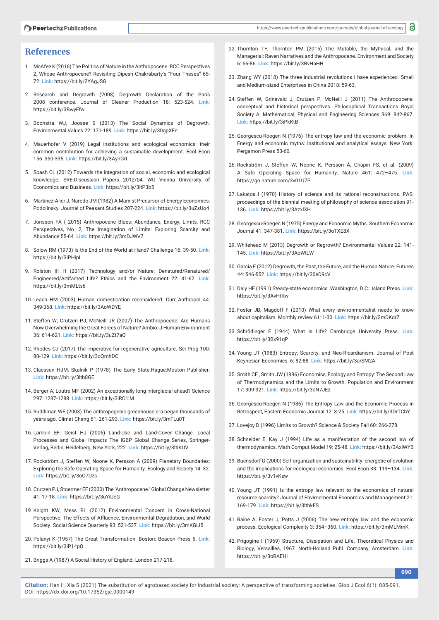#### **References**

- 1. McAfee K (2016) The Politics of Nature in the Anthropocene. RCC Perspectives 2, Whose Anthropocene? Revisiting Dipesh Chakrabarty's "Four Theses" 65- 72. **Link:** https://bit.ly/2YAgJSG
- 2. Research and Degrowth (2008) Degrowth Declaration of the Paris 2008 conference. Journal of Cleaner Production 18: 523-524. **Link:** https://bit.ly/3BwyFfw
- 3. Boonstra WJ, Joosse S (2013) The Social Dynamics of Degrowth. Environmental Values 22: 171-189. **Link:** https://bit.ly/30gpXEn
- 4. Mauerhofer V (2019) Legal institutions and ecological economics: their common contribution for achieving a sustainable development. Ecol Econ 156: 350-335. **Link:** https://bit.ly/3AyhGrI
- 5. Spash CL (2012) Towards the integration of social, economic and ecological knowledge. SRE-Discussion Papers 2012/04, WU Vienna University of Economics and Business. **Link:** https://bit.ly/3ltP3b5
- 6. Martinez-Alier J, Naredo JM (1982) A Marxist Precursor of Energy Economics: Podolinsky. Journal of Peasant Studies 207-224. **Link:** https://bit.ly/3uZsUo4
- 7. Jonsson FA ( 2015) Anthropocene Blues: Abundance, Energy, Limits, RCC Perspectives, No. 2, The Imagination of Limits: Exploring Scarcity and Abundance 55-64. **Link:** https://bit.ly/3mDJWV7
- 8. Solow RM (1973) Is the End of the World at Hand? Challenge 16: 39-50. **Link:** https://bit.ly/3iPHlpL
- 9. Rolston III H (2017) Technology and/or Nature: Denatured/Renatured/ Engineered/Artifacted Life? Ethics and the Environment 22: 41-62. **Link:** https://bit.ly/3mMLts6
- 10. Leach HM (2003) Human domestication reconsidered. Curr Anthropol 44: 349-368. **Link:** https://bit.ly/3AoWDYE
- 11. Steffen W, Crutzen PJ, McNeill JR (2007) The Anthropocene: Are Humans Now Overwhelming the Great Forces of Nature? Ambio: J Human Environment 36: 614-621. **Link:** https://bit.ly/3uZt7aQ
- 12. Rhodes CJ (2017) The imperative for regenerative agriculture. Sci Prog 100: 80-129. **Link:** https://bit.ly/3oQmhDC
- 13. Claessen HJM, Skalnik P (1978) The Early State.Hague:Mouton Publisher. **Link:** https://bit.ly/3ltb8GE
- 14. Berger A, Loutre MF (2002) An exceptionally long interglacial ahead? Science 297: 1287-1288. **Link:** https://bit.ly/3iRC1lM
- 15. Ruddiman WF (2003) The anthropogenic greenhouse era began thousands of years ago. Climat Chang 61: 261-293. **Link:** https://bit.ly/3mFLu0T
- 16. Lambin EF. Geist HJ (2006) Land-Use and Land-Cover Change. Local Processes and Global Impacts The IGBP Global Change Series, Springer-Verlag, Berlin, Heidelberg, New York, 222. **Link:** https://bit.ly/3ltIKUV
- 17. Rockström J, Steffen W, Noone K, Persson Å (2009) Planetary Boundaries: Exploring the Safe Operating Space for Humanity. Ecology and Society 14: 32. **Link:** https://bit.ly/3oO7Uzs
- 18. Crutzen PJ, Stoermer EF (2000) The 'Anthropocene.' Global Change Newsletter 41: 17-18. **Link:** https://bit.ly/3uYiUeG
- 19. Knight KW, Mess BL (2012) Environmental Concern in Cross-National Perspective: The Effects of Affluence, Environmental Degradation, and World Society. Social Science Quarterly 93: 521-537. **Link:** https://bit.ly/3mKGiJ5
- 20. Polanyi K (1957) The Great Transformation. Boston: Beacon Press 6. **Link:** https://bit.ly/3iP14pO
- 21. Briggs A (1987) A Social History of England. London 217-218.
- 22. Thornton TF, Thornton PM (2015) The Mutable, the Mythical, and the Managerial: Raven Narratives and the Anthropocene. Environment and Society 6: 66-86. **Link:** https://bit.ly/3BvHaHH
- 23. Zhang WY (2018) The three industrial revolutions I have experienced. Small and Medium-sized Enterprises in China 2018: 59-63.
- 24. Steffen W, Grinevald J, Crutzen P, McNeill J (2011) The Anthropocene: conceptual and historical perspectives. Philosophical Transactions Royal Society A: Mathematical, Physical and Engineering Sciences 369: 842-867. **Link:** https://bit.ly/3iPkKtB
- 25. Georgescu-Roegen N (1976) The entropy law and the economic problem. In Energy and economic myths: Institutional and analytical essays. New York: Pergamon Press 53-60.
- 26. Rockström J, Steffen W, Noone K, Persson Å, Chapin FS, et al. (2009) A Safe Operating Space for Humanity. Nature 461: 472–475. **Link:** https://go.nature.com/3v01U7P
- 27. Lakatos I (1970) History of science and its rational reconstructions. PAS: proceedings of the biennial meeting of philosophy of science association 91- 136. **Link:** https://bit.ly/3AzxlXH
- 28. Georgescu-Roegen N (1975) Energy and Economic Myths. Southern Economic Journal 41: 347-381. **Link:** https://bit.ly/3oTXE8X
- 29. Whitehead M (2013) Degrowth or Regrowth? Environmental Values 22: 141- 145. **Link:** https://bit.ly/3AoWILW
- 30. Garcia E (2012) Degrowth, the Past, the Future, and the Human Nature. Futures 44: 546-552. **Link:** https://bit.ly/30eD9cV
- 31. Daly HE (1991) Steady-state economics. Washington, D.C.: Island Press. **Link:** https://bit.ly/3AvHtRw
- 32. Foster JB, Magdoff F (2010) What every environmentalist needs to know about capitalism. Monthly review 61: 1-30. **Link:** https://bit.ly/3mDKdr7
- 33. Schrödinger E (1944) What is Life? Cambridge University Press. **Link:** https://bit.ly/3Bx91qP
- 34. Young JT (1983) Entropy, Scarcity, and Neo-Ricardianism. Journal of Post Keynesian Economics. 6: 82-88. **Link:** https://bit.ly/3arSM2A
- 35. Smith CE , Smith JW (1996) Economics, Ecology and Entropy: The Second Law of Thermodynamics and the Limits to Growth. Population and Environment 17: 309-321. **Link:** https://bit.ly/3oN7JEz
- 36. Georgescu-Roegen N (1986) The Entropy Law and the Economic Process in Retrospect, Eastern Economic Journal 12: 3-25. **Link:** https://bit.ly/3DrTCbY
- 37. Lovejoy D (1996) Limits to Growth? Science & Society Fall 60: 266-278.
- 38. Schneider E, Kay J (1994) Life as a manifestation of the second law of thermodynamics. Math Comput Model 19: 25-48. **Link:** https://bit.ly/3AxlWYB
- 39. Buensdorf G (2000) Self-organization and sustainability: energetic of evolution and the implications for ecological economics. Ecol Econ 33: 119–134. **Link:** https://bit.ly/3v1vKsw
- 40. Young JT (1991) Is the entropy law relevant to the economics of natural resource scarcity? Journal of Environmental Economics and Management 21: 169-179. **Link:** https://bit.ly/3ltbkFS
- 41. Raine A, Foster J, Potts J (2006) The new entropy law and the economic process. Ecological Complexity 3: 354–360. **Link:** https://bit.ly/3mMLMmK
- 42. Prigogine I (1969) Structure, Dissipation and Life. Theoretical Physics and Biology, Versailles, 1967. North-Holland Publ. Company, Amsterdam. **Link:**  https://bit.ly/3oRAEHI

**090**

**Citation:** Han H, Xia S (2021) The substitution of agrobased society for industrial society: A perspective of transforming societies. Glob J Ecol 6(1): 085-091. DOI: https://dx.doi.org/10.17352/gje.0000149